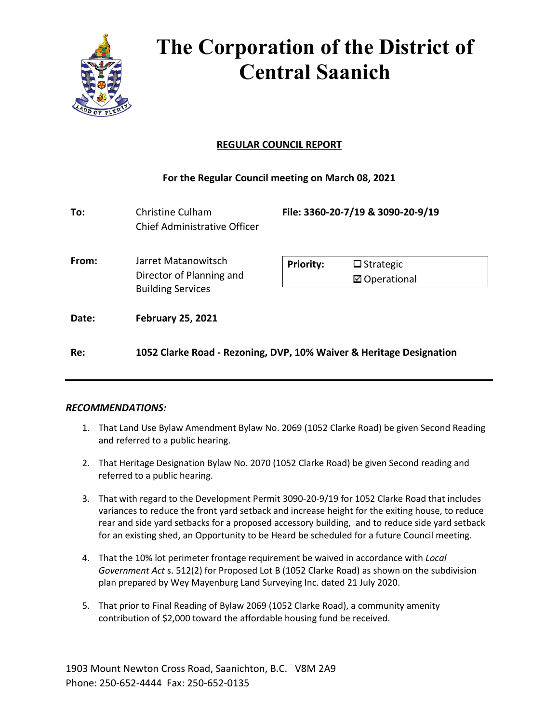

# **The Corporation of the District of Central Saanich**

# **REGULAR COUNCIL REPORT**

# **For the Regular Council meeting on March 08, 2021**

| To:   | Christine Culham<br>Chief Administrative Officer                            | File: 3360-20-7/19 & 3090-20-9/19                            |
|-------|-----------------------------------------------------------------------------|--------------------------------------------------------------|
| From: | Jarret Matanowitsch<br>Director of Planning and<br><b>Building Services</b> | <b>Priority:</b><br>$\Box$ Strategic<br><b>⊠</b> Operational |
| Date: | <b>February 25, 2021</b>                                                    |                                                              |
| Re:   | 1052 Clarke Road - Rezoning, DVP, 10% Waiver & Heritage Designation         |                                                              |

## *RECOMMENDATIONS:*

- 1. That Land Use Bylaw Amendment Bylaw No. 2069 (1052 Clarke Road) be given Second Reading and referred to a public hearing.
- 2. That Heritage Designation Bylaw No. 2070 (1052 Clarke Road) be given Second reading and referred to a public hearing.
- 3. That with regard to the Development Permit 3090-20-9/19 for 1052 Clarke Road that includes variances to reduce the front yard setback and increase height for the exiting house, to reduce rear and side yard setbacks for a proposed accessory building, and to reduce side yard setback for an existing shed, an Opportunity to be Heard be scheduled for a future Council meeting.
- 4. That the 10% lot perimeter frontage requirement be waived in accordance with *Local Government Act* s. 512(2) for Proposed Lot B (1052 Clarke Road) as shown on the subdivision plan prepared by Wey Mayenburg Land Surveying Inc. dated 21 July 2020.
- 5. That prior to Final Reading of Bylaw 2069 (1052 Clarke Road), a community amenity contribution of \$2,000 toward the affordable housing fund be received.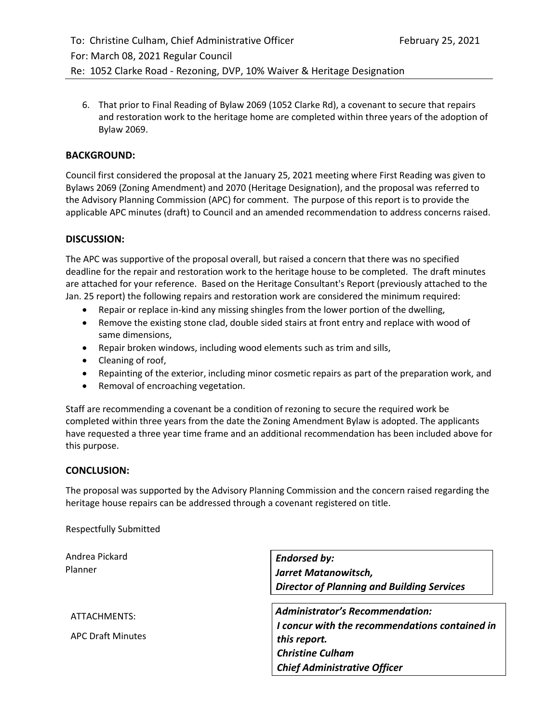6. That prior to Final Reading of Bylaw 2069 (1052 Clarke Rd), a covenant to secure that repairs and restoration work to the heritage home are completed within three years of the adoption of Bylaw 2069.

# **BACKGROUND:**

Council first considered the proposal at the January 25, 2021 meeting where First Reading was given to Bylaws 2069 (Zoning Amendment) and 2070 (Heritage Designation), and the proposal was referred to the Advisory Planning Commission (APC) for comment. The purpose of this report is to provide the applicable APC minutes (draft) to Council and an amended recommendation to address concerns raised.

## **DISCUSSION:**

The APC was supportive of the proposal overall, but raised a concern that there was no specified deadline for the repair and restoration work to the heritage house to be completed. The draft minutes are attached for your reference. Based on the Heritage Consultant's Report (previously attached to the Jan. 25 report) the following repairs and restoration work are considered the minimum required:

- Repair or replace in-kind any missing shingles from the lower portion of the dwelling,
- Remove the existing stone clad, double sided stairs at front entry and replace with wood of same dimensions,
- Repair broken windows, including wood elements such as trim and sills,
- Cleaning of roof,
- Repainting of the exterior, including minor cosmetic repairs as part of the preparation work, and
- Removal of encroaching vegetation.

Staff are recommending a covenant be a condition of rezoning to secure the required work be completed within three years from the date the Zoning Amendment Bylaw is adopted. The applicants have requested a three year time frame and an additional recommendation has been included above for this purpose.

### **CONCLUSION:**

The proposal was supported by the Advisory Planning Commission and the concern raised regarding the heritage house repairs can be addressed through a covenant registered on title.

Respectfully Submitted

| Andrea Pickard           | <b>Endorsed by:</b>                               |
|--------------------------|---------------------------------------------------|
| Planner                  | Jarret Matanowitsch,                              |
|                          | <b>Director of Planning and Building Services</b> |
| ATTACHMENTS:             | <b>Administrator's Recommendation:</b>            |
|                          | I concur with the recommendations contained in    |
| <b>APC Draft Minutes</b> | this report.                                      |
|                          | <b>Christine Culham</b>                           |
|                          | <b>Chief Administrative Officer</b>               |